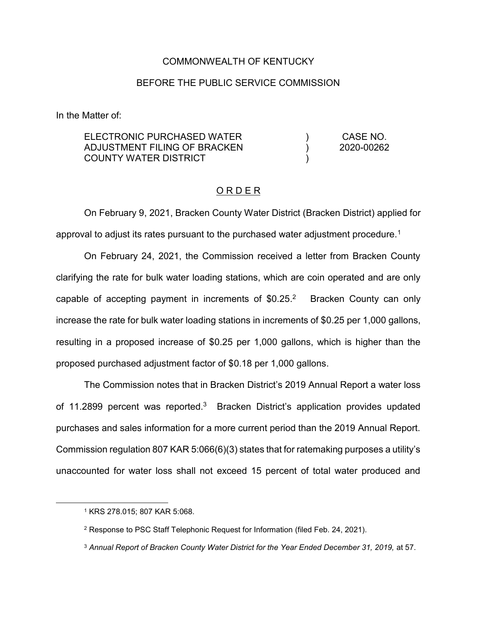#### COMMONWEALTH OF KENTUCKY

#### BEFORE THE PUBLIC SERVICE COMMISSION

In the Matter of:

| ELECTRONIC PURCHASED WATER    | CASE NO.   |
|-------------------------------|------------|
| ADJUSTMENT FILING OF BRACKEN. | 2020-00262 |
| COUNTY WATER DISTRICT         |            |

### O R D E R

On February 9, 2021, Bracken County Water District (Bracken District) applied for approval to adjust its rates pursuant to the purchased water adjustment procedure.<sup>1</sup>

On February 24, 2021, the Commission received a letter from Bracken County clarifying the rate for bulk water loading stations, which are coin operated and are only capable of accepting payment in increments of  $$0.25<sup>2</sup>$  Bracken County can only increase the rate for bulk water loading stations in increments of \$0.25 per 1,000 gallons, resulting in a proposed increase of \$0.25 per 1,000 gallons, which is higher than the proposed purchased adjustment factor of \$0.18 per 1,000 gallons.

The Commission notes that in Bracken District's 2019 Annual Report a water loss of 11.2899 percent was reported.<sup>3</sup> Bracken District's application provides updated purchases and sales information for a more current period than the 2019 Annual Report. Commission regulation 807 KAR 5:066(6)(3) states that for ratemaking purposes a utility's unaccounted for water loss shall not exceed 15 percent of total water produced and

 <sup>1</sup> KRS 278.015; 807 KAR 5:068.

<sup>2</sup> Response to PSC Staff Telephonic Request for Information (filed Feb. 24, 2021).

<sup>3</sup> *Annual Report of Bracken County Water District for the Year Ended December 31, 2019,* at 57.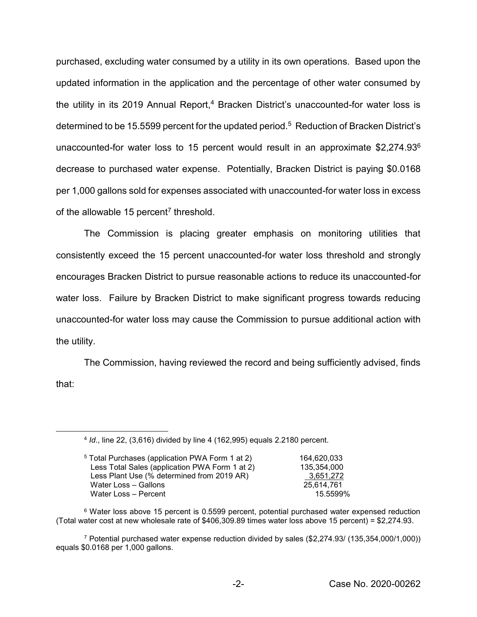purchased, excluding water consumed by a utility in its own operations. Based upon the updated information in the application and the percentage of other water consumed by the utility in its 2019 Annual Report, $4$  Bracken District's unaccounted-for water loss is determined to be 15.5599 percent for the updated period.<sup>5</sup> Reduction of Bracken District's unaccounted-for water loss to 15 percent would result in an approximate \$2,274.936 decrease to purchased water expense. Potentially, Bracken District is paying \$0.0168 per 1,000 gallons sold for expenses associated with unaccounted-for water loss in excess of the allowable 15 percent<sup>7</sup> threshold.

The Commission is placing greater emphasis on monitoring utilities that consistently exceed the 15 percent unaccounted-for water loss threshold and strongly encourages Bracken District to pursue reasonable actions to reduce its unaccounted-for water loss. Failure by Bracken District to make significant progress towards reducing unaccounted-for water loss may cause the Commission to pursue additional action with the utility.

The Commission, having reviewed the record and being sufficiently advised, finds that:

 <sup>4</sup> *Id*., line 22, (3,616) divided by line 4 (162,995) equals 2.2180 percent.

| <sup>5</sup> Total Purchases (application PWA Form 1 at 2) | 164.620.033 |
|------------------------------------------------------------|-------------|
| Less Total Sales (application PWA Form 1 at 2)             | 135,354,000 |
| Less Plant Use (% determined from 2019 AR)                 | 3,651,272   |
| Water Loss - Gallons                                       | 25.614.761  |
| Water Loss - Percent                                       | 15.5599%    |
|                                                            |             |

<sup>6</sup> Water loss above 15 percent is 0.5599 percent, potential purchased water expensed reduction (Total water cost at new wholesale rate of \$406,309.89 times water loss above 15 percent) = \$2,274.93.

<sup>7</sup> Potential purchased water expense reduction divided by sales (\$2,274.93/ (135,354,000/1,000)) equals \$0.0168 per 1,000 gallons.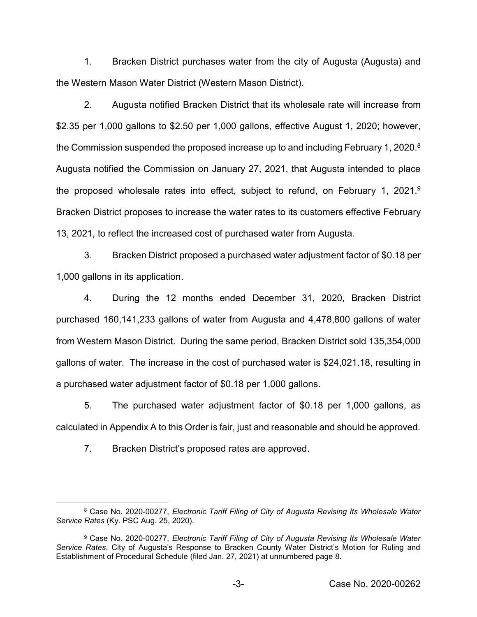1. Bracken District purchases water from the city of Augusta (Augusta) and the Western Mason Water District (Western Mason District).

2. Augusta notified Bracken District that its wholesale rate will increase from \$2.35 per 1,000 gallons to \$2.50 per 1,000 gallons, effective August 1, 2020; however, the Commission suspended the proposed increase up to and including February 1, 2020.<sup>8</sup> Augusta notified the Commission on January 27, 2021, that Augusta intended to place the proposed wholesale rates into effect, subject to refund, on February 1, 2021.9 Bracken District proposes to increase the water rates to its customers effective February 13, 2021, to reflect the increased cost of purchased water from Augusta.

3. Bracken District proposed a purchased water adjustment factor of \$0.18 per 1,000 gallons in its application.

4. During the 12 months ended December 31, 2020, Bracken District purchased 160,141,233 gallons of water from Augusta and 4,478,800 gallons of water from Western Mason District. During the same period, Bracken District sold 135,354,000 gallons of water. The increase in the cost of purchased water is \$24,021.18, resulting in a purchased water adjustment factor of \$0.18 per 1,000 gallons.

5. The purchased water adjustment factor of \$0.18 per 1,000 gallons, as calculated in Appendix A to this Order is fair, just and reasonable and should be approved.

7. Bracken District's proposed rates are approved.

 <sup>8</sup> Case No. 2020-00277, *Electronic Tariff Filing of City of Augusta Revising Its Wholesale Water Service Rates* (Ky. PSC Aug. 25, 2020).

<sup>9</sup> Case No. 2020-00277, *Electronic Tariff Filing of City of Augusta Revising Its Wholesale Water Service Rates*, City of Augusta's Response to Bracken County Water District's Motion for Ruling and Establishment of Procedural Schedule (filed Jan. 27, 2021) at unnumbered page 8.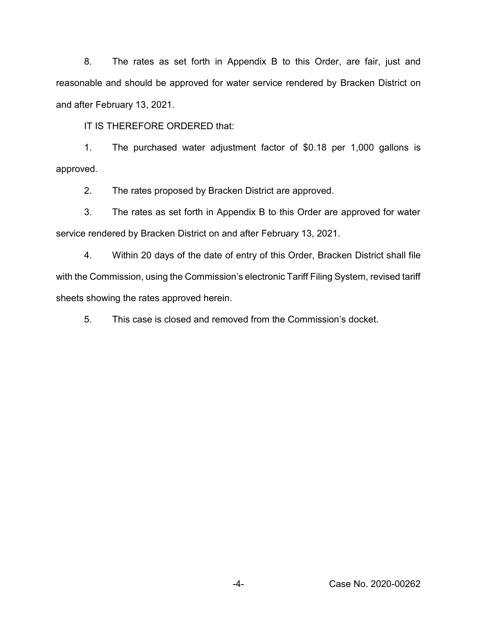8. The rates as set forth in Appendix B to this Order, are fair, just and reasonable and should be approved for water service rendered by Bracken District on and after February 13, 2021.

IT IS THEREFORE ORDERED that:

1. The purchased water adjustment factor of \$0.18 per 1,000 gallons is approved.

2. The rates proposed by Bracken District are approved.

3. The rates as set forth in Appendix B to this Order are approved for water service rendered by Bracken District on and after February 13, 2021.

4. Within 20 days of the date of entry of this Order, Bracken District shall file with the Commission, using the Commission's electronic Tariff Filing System, revised tariff sheets showing the rates approved herein.

5. This case is closed and removed from the Commission's docket.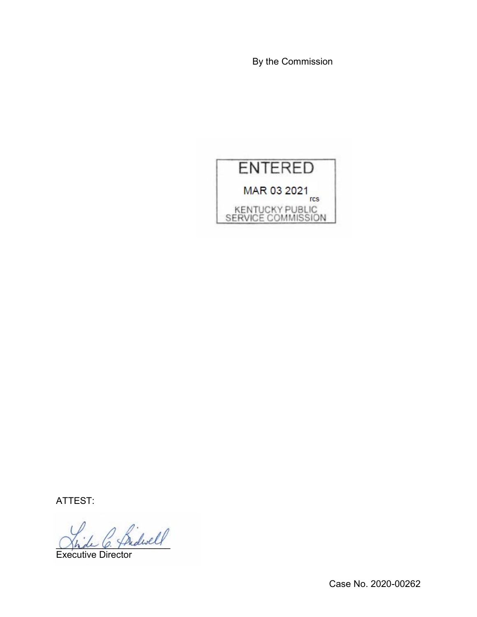By the Commission



ATTEST:

Bidwell

Executive Director

Case No. 2020-00262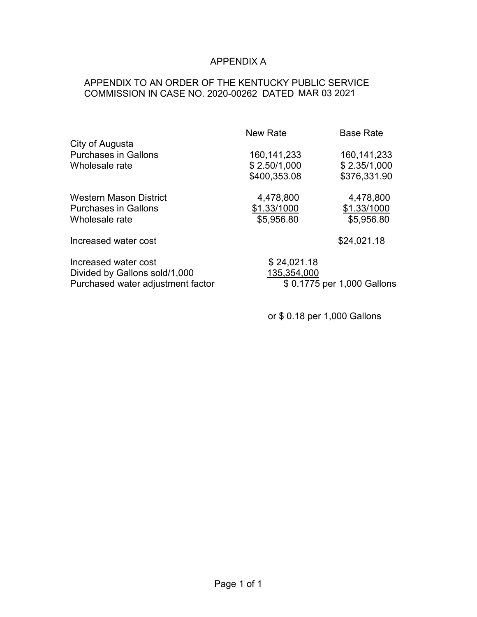# APPENDIX A

## APPENDIX TO AN ORDER OF THE KENTUCKY PUBLIC SERVICE COMMISSION IN CASE NO. 2020-00262 DATED MAR 03 2021

|                                                                                            | <b>New Rate</b>                               | <b>Base Rate</b>                              |
|--------------------------------------------------------------------------------------------|-----------------------------------------------|-----------------------------------------------|
| City of Augusta<br><b>Purchases in Gallons</b><br>Wholesale rate                           | 160, 141, 233<br>\$2.50/1,000<br>\$400,353.08 | 160, 141, 233<br>\$2.35/1,000<br>\$376,331.90 |
| Western Mason District<br><b>Purchases in Gallons</b><br>Wholesale rate                    | 4,478,800<br>\$1.33/1000<br>\$5,956.80        | 4,478,800<br>\$1.33/1000<br>\$5,956.80        |
| Increased water cost                                                                       |                                               | \$24,021.18                                   |
| Increased water cost<br>Divided by Gallons sold/1,000<br>Purchased water adjustment factor | \$24,021.18<br>135,354,000                    | \$0.1775 per 1,000 Gallons                    |

or \$ 0.18 per 1,000 Gallons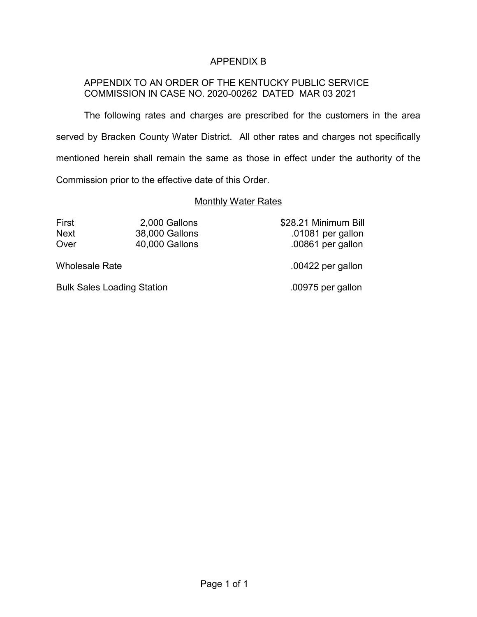## APPENDIX B

### APPENDIX TO AN ORDER OF THE KENTUCKY PUBLIC SERVICE COMMISSION IN CASE NO. 2020-00262 DATED MAR 03 2021

The following rates and charges are prescribed for the customers in the area served by Bracken County Water District. All other rates and charges not specifically mentioned herein shall remain the same as those in effect under the authority of the Commission prior to the effective date of this Order.

#### **Monthly Water Rates**

First 2,000 Gallons \$28.21 Minimum Bill Next 38,000 Gallons .01081 per gallon Over 40,000 Gallons .00861 per gallon

Wholesale Rate ... The same of the Modes of the Modes of the Modes of the Modes of the Modes of the Modes of the Modes of the Modes of the Modes of the Modes of the Modes of the Modes of the Modes of the Modes of the Modes

Bulk Sales Loading Station .00975 per gallon